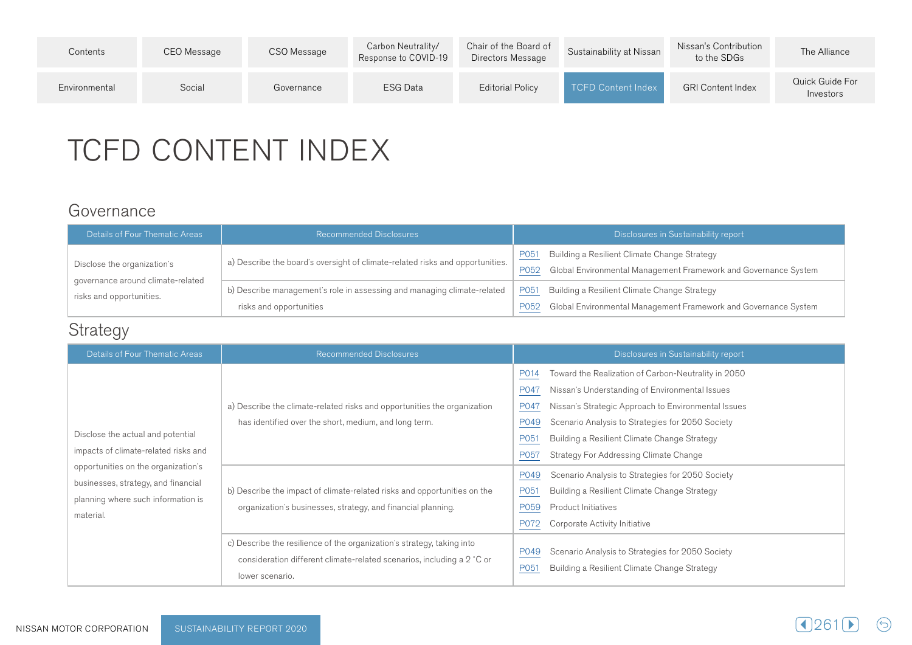| Contents      | CEO Message | CSO Message | Carbon Neutrality/<br>Response to COVID-19 | Chair of the Board of<br>Directors Message | Sustainability at Nissan  | Nissan's Contribution<br>to the SDGs | The Alliance                 |
|---------------|-------------|-------------|--------------------------------------------|--------------------------------------------|---------------------------|--------------------------------------|------------------------------|
| Environmental | Social      | Governance  | ESG Data                                   | Editorial Policy                           | <b>TCFD Content Index</b> | <b>GRI Content Index</b>             | Quick Guide For<br>Investors |

# TCFD CONTENT INDEX

### Governance

| Details of Four Thematic Areas                                   | <b>Recommended Disclosures</b>                                                                     | Disclosures in Sustainability report                                                                                                   |  |  |
|------------------------------------------------------------------|----------------------------------------------------------------------------------------------------|----------------------------------------------------------------------------------------------------------------------------------------|--|--|
| Disclose the organization's<br>governance around climate-related | a) Describe the board's oversight of climate-related risks and opportunities.                      | Building a Resilient Climate Change Strategy<br><u>P051</u><br>Global Environmental Management Framework and Governance System<br>P052 |  |  |
| risks and opportunities.                                         | b) Describe management's role in assessing and managing climate-related<br>risks and opportunities | Building a Resilient Climate Change Strategy<br>P051<br>Global Environmental Management Framework and Governance System<br>P052        |  |  |

## Strategy

| Details of Four Thematic Areas                                                                                                | <b>Recommended Disclosures</b>                                                                                                                                      | Disclosures in Sustainability report                                                                                                                                                                                                                                                                                                                       |
|-------------------------------------------------------------------------------------------------------------------------------|---------------------------------------------------------------------------------------------------------------------------------------------------------------------|------------------------------------------------------------------------------------------------------------------------------------------------------------------------------------------------------------------------------------------------------------------------------------------------------------------------------------------------------------|
| Disclose the actual and potential<br>impacts of climate-related risks and                                                     | a) Describe the climate-related risks and opportunities the organization<br>has identified over the short, medium, and long term.                                   | Toward the Realization of Carbon-Neutrality in 2050<br>P014<br>Nissan's Understanding of Environmental Issues<br>P047<br>Nissan's Strategic Approach to Environmental Issues<br>P047<br>P049<br>Scenario Analysis to Strategies for 2050 Society<br>P051<br>Building a Resilient Climate Change Strategy<br>P057<br>Strategy For Addressing Climate Change |
| opportunities on the organization's<br>businesses, strategy, and financial<br>planning where such information is<br>material. | b) Describe the impact of climate-related risks and opportunities on the<br>organization's businesses, strategy, and financial planning.                            | P049<br>Scenario Analysis to Strategies for 2050 Society<br>P051<br>Building a Resilient Climate Change Strategy<br>P059<br>Product Initiatives<br>P072<br>Corporate Activity Initiative                                                                                                                                                                   |
|                                                                                                                               | c) Describe the resilience of the organization's strategy, taking into<br>consideration different climate-related scenarios, including a 2 °C or<br>lower scenario. | Scenario Analysis to Strategies for 2050 Society<br>P049<br>Building a Resilient Climate Change Strategy<br>P051                                                                                                                                                                                                                                           |